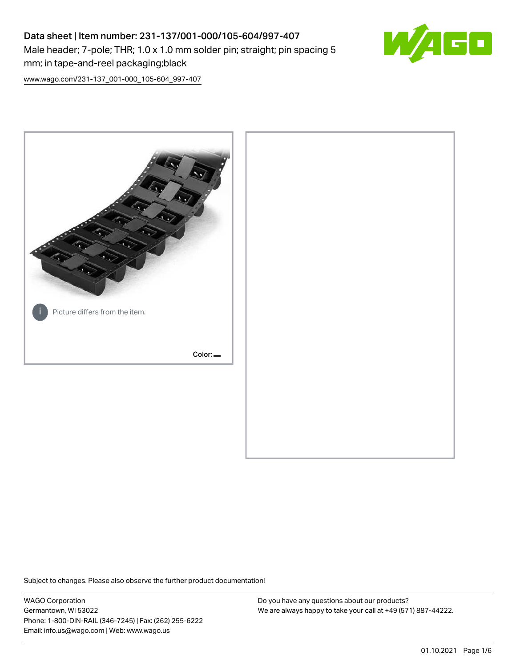# Data sheet | Item number: 231-137/001-000/105-604/997-407 Male header; 7-pole; THR; 1.0 x 1.0 mm solder pin; straight; pin spacing 5 mm; in tape-and-reel packaging;black



[www.wago.com/231-137\\_001-000\\_105-604\\_997-407](http://www.wago.com/231-137_001-000_105-604_997-407)



Subject to changes. Please also observe the further product documentation!

WAGO Corporation Germantown, WI 53022 Phone: 1-800-DIN-RAIL (346-7245) | Fax: (262) 255-6222 Email: info.us@wago.com | Web: www.wago.us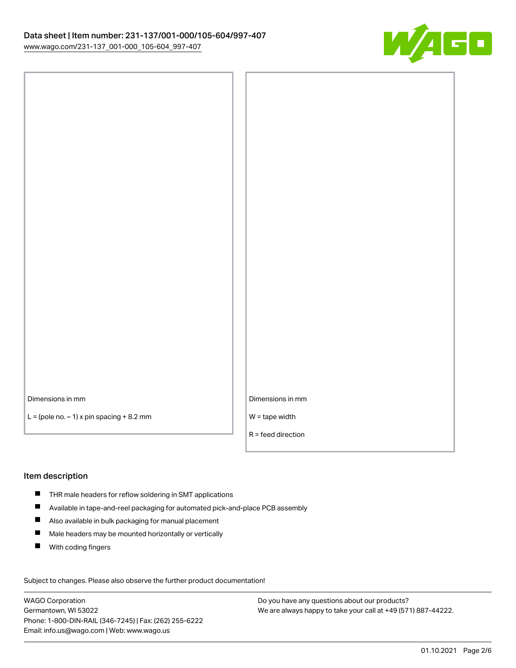

Dimensions in mm

 $L =$  (pole no.  $-1$ ) x pin spacing  $+8.2$  mm

| Dimensions in mm     |
|----------------------|
| $W =$ tape width     |
| $R =$ feed direction |

#### Item description

- THR male headers for reflow soldering in SMT applications
- $\blacksquare$ Available in tape-and-reel packaging for automated pick-and-place PCB assembly
- $\blacksquare$ Also available in bulk packaging for manual placement
- $\blacksquare$ Male headers may be mounted horizontally or vertically
- $\blacksquare$ With coding fingers

Subject to changes. Please also observe the further product documentation! Data

WAGO Corporation Germantown, WI 53022 Phone: 1-800-DIN-RAIL (346-7245) | Fax: (262) 255-6222 Email: info.us@wago.com | Web: www.wago.us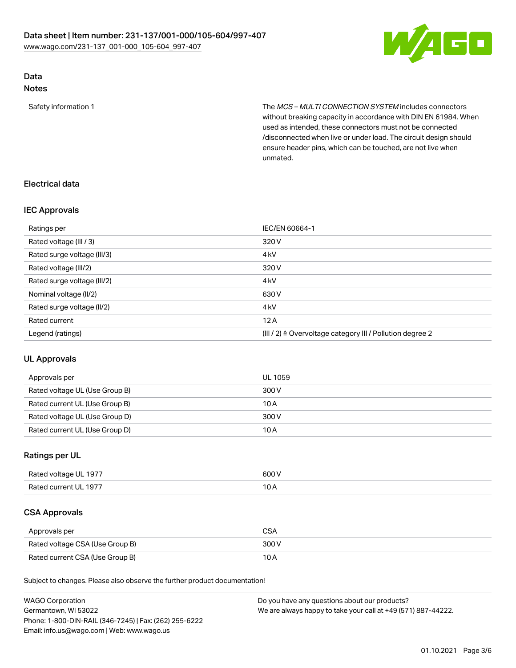

# Data

Notes

Safety information 1 The MCS – MULTI CONNECTION SYSTEM includes connectors without breaking capacity in accordance with DIN EN 61984. When used as intended, these connectors must not be connected /disconnected when live or under load. The circuit design should ensure header pins, which can be touched, are not live when unmated.

### Electrical data

#### IEC Approvals

| Ratings per                 | IEC/EN 60664-1                                                        |
|-----------------------------|-----------------------------------------------------------------------|
| Rated voltage (III / 3)     | 320 V                                                                 |
| Rated surge voltage (III/3) | 4 <sub>k</sub> V                                                      |
| Rated voltage (III/2)       | 320 V                                                                 |
| Rated surge voltage (III/2) | 4 <sub>k</sub> V                                                      |
| Nominal voltage (II/2)      | 630 V                                                                 |
| Rated surge voltage (II/2)  | 4 <sub>k</sub> V                                                      |
| Rated current               | 12A                                                                   |
| Legend (ratings)            | $(III / 2)$ $\triangle$ Overvoltage category III / Pollution degree 2 |

#### UL Approvals

| Approvals per                  | UL 1059 |
|--------------------------------|---------|
| Rated voltage UL (Use Group B) | 300 V   |
| Rated current UL (Use Group B) | 10 A    |
| Rated voltage UL (Use Group D) | 300 V   |
| Rated current UL (Use Group D) | 10A     |

#### Ratings per UL

| Rated voltage UL 1977 | 600 V     |
|-----------------------|-----------|
| Rated current UL 1977 | 10<br>,UA |

#### CSA Approvals

| Approvals per                   | CSA   |
|---------------------------------|-------|
| Rated voltage CSA (Use Group B) | 300 V |
| Rated current CSA (Use Group B) | 10 A  |

Subject to changes. Please also observe the further product documentation!

| <b>WAGO Corporation</b>                                | Do you have any questions about our products?                 |
|--------------------------------------------------------|---------------------------------------------------------------|
| Germantown, WI 53022                                   | We are always happy to take your call at +49 (571) 887-44222. |
| Phone: 1-800-DIN-RAIL (346-7245)   Fax: (262) 255-6222 |                                                               |
| Email: info.us@wago.com   Web: www.wago.us             |                                                               |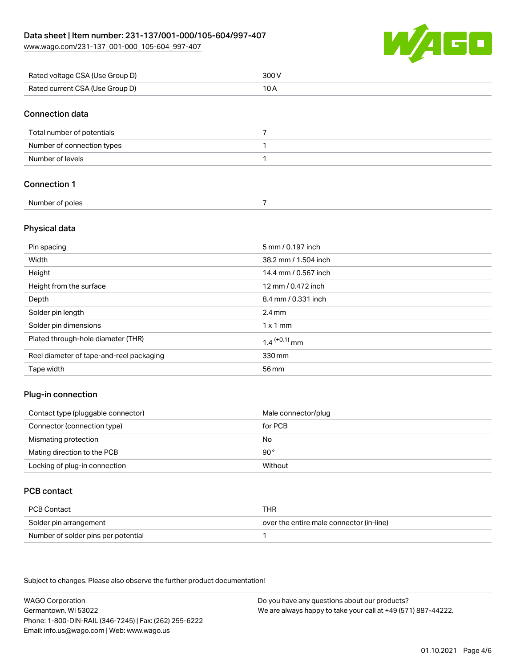[www.wago.com/231-137\\_001-000\\_105-604\\_997-407](http://www.wago.com/231-137_001-000_105-604_997-407)



| Rated voltage CSA (Use Group D) | 300V                 |
|---------------------------------|----------------------|
| Rated current CSA (Use Group D) | 10 A                 |
| <b>Connection data</b>          |                      |
| Total number of potentials      | 7                    |
| Number of connection types      | 1                    |
| Number of levels                | $\mathbf{1}$         |
| <b>Connection 1</b>             |                      |
| Number of poles                 | $\overline{7}$       |
| Physical data                   |                      |
| Pin spacing                     | 5 mm / 0.197 inch    |
| Width                           | 38.2 mm / 1.504 inch |
| Height                          | 14.4 mm / 0.567 inch |
| Height from the surface         | 12 mm / 0.472 inch   |
| Depth                           | 8.4 mm / 0.331 inch  |

| Solder pin length                        | $2.4 \,\mathrm{mm}$      |
|------------------------------------------|--------------------------|
| Solder pin dimensions                    | $1 \times 1$ mm          |
| Plated through-hole diameter (THR)       | 1.4 <sup>(+0.1)</sup> mm |
| Reel diameter of tape-and-reel packaging | 330 mm                   |
| Tape width                               | 56 mm                    |

#### Plug-in connection

| Contact type (pluggable connector) | Male connector/plug |
|------------------------------------|---------------------|
| Connector (connection type)        | for PCB             |
| Mismating protection               | No                  |
| Mating direction to the PCB        | $90^{\circ}$        |
| Locking of plug-in connection      | Without             |

#### PCB contact

| PCB Contact                         | THR                                      |
|-------------------------------------|------------------------------------------|
| Solder pin arrangement              | over the entire male connector (in-line) |
| Number of solder pins per potential |                                          |

Subject to changes. Please also observe the further product documentation!

WAGO Corporation Germantown, WI 53022 Phone: 1-800-DIN-RAIL (346-7245) | Fax: (262) 255-6222 Email: info.us@wago.com | Web: www.wago.us Do you have any questions about our products? We are always happy to take your call at +49 (571) 887-44222.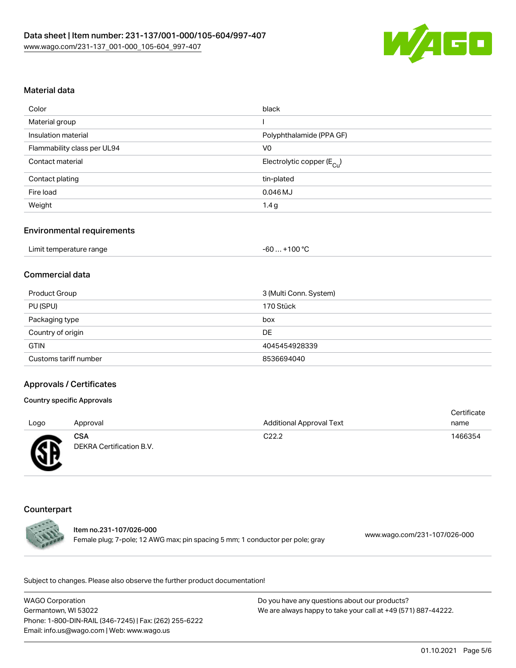

#### Material data

| Color                       | black                                 |
|-----------------------------|---------------------------------------|
| Material group              |                                       |
| Insulation material         | Polyphthalamide (PPA GF)              |
| Flammability class per UL94 | V <sub>0</sub>                        |
| Contact material            | Electrolytic copper $(E_{\text{Cl}})$ |
| Contact plating             | tin-plated                            |
| Fire load                   | $0.046$ MJ                            |
| Weight                      | 1.4 g                                 |

#### Environmental requirements

| Limit temperature range | . +100 °C<br>-60 |
|-------------------------|------------------|
|-------------------------|------------------|

#### Commercial data

| Product Group         | 3 (Multi Conn. System) |
|-----------------------|------------------------|
| PU (SPU)              | 170 Stück              |
| Packaging type        | box                    |
| Country of origin     | DE                     |
| <b>GTIN</b>           | 4045454928339          |
| Customs tariff number | 8536694040             |

#### Approvals / Certificates

#### Country specific Approvals

|      |                          |                                 | Certificate |
|------|--------------------------|---------------------------------|-------------|
| Logo | Approval                 | <b>Additional Approval Text</b> | name        |
|      | <b>CSA</b>               | C <sub>22.2</sub>               | 1466354     |
| Æ    | DEKRA Certification B.V. |                                 |             |
|      |                          |                                 |             |

#### Counterpart

Item no.231-107/026-000 Female plug; 7-pole; 12 AWG max; pin spacing 5 mm; 1 conductor per pole; gray [www.wago.com/231-107/026-000](https://www.wago.com/231-107/026-000)

Subject to changes. Please also observe the further product documentation!

WAGO Corporation Germantown, WI 53022 Phone: 1-800-DIN-RAIL (346-7245) | Fax: (262) 255-6222 Email: info.us@wago.com | Web: www.wago.us